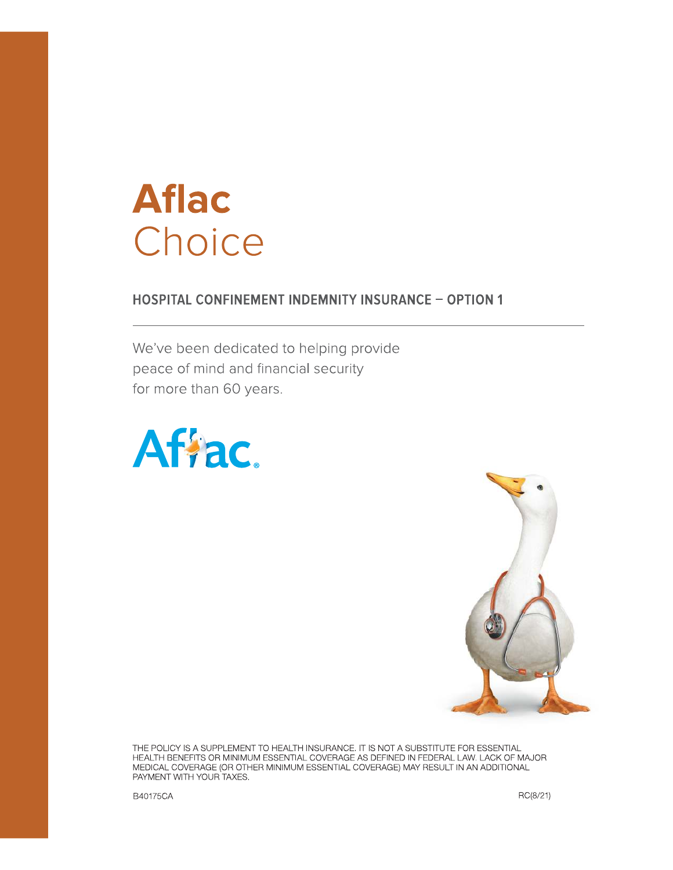# **Aflac** Choice

### **HOSPITAL CONFINEMENT INDEMNITY INSURANCE - OPTION 1**

We've been dedicated to helping provide peace of mind and financial security for more than 60 years.





THE POLICY IS A SUPPLEMENT TO HEALTH INSURANCE. IT IS NOT A SUBSTITUTE FOR ESSENTIAL HEALTH BENEFITS OR MINIMUM ESSENTIAL COVERAGE AS DEFINED IN FEDERAL LAW. LACK OF MAJOR<br>MEDICAL COVERAGE (OR OTHER MINIMUM ESSENTIAL COVERAGE) MAY RESULT IN AN ADDITIONAL PAYMENT WITH YOUR TAXES.

B40175CA

RC(8/21)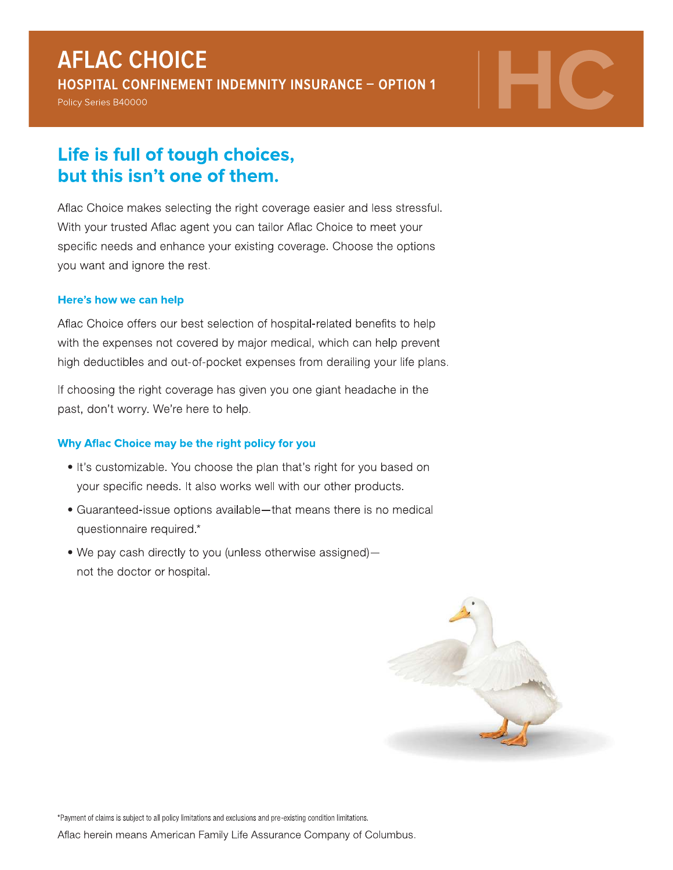## **AFLAC CHOICE**

HOSPITAL CONFINEMENT INDEMNITY INSURANCE - OPTION 1

Policy Series B40000

## Life is full of tough choices, but this isn't one of them.

Aflac Choice makes selecting the right coverage easier and less stressful. With your trusted Aflac agent you can tailor Aflac Choice to meet your specific needs and enhance your existing coverage. Choose the options you want and ignore the rest.

#### Here's how we can help

Aflac Choice offers our best selection of hospital-related benefits to help with the expenses not covered by major medical, which can help prevent high deductibles and out-of-pocket expenses from derailing your life plans.

If choosing the right coverage has given you one giant headache in the past, don't worry. We're here to help.

#### Why Aflac Choice may be the right policy for you

- . It's customizable. You choose the plan that's right for you based on your specific needs. It also works well with our other products.
- Guaranteed-issue options available-that means there is no medical questionnaire required.\*
- We pay cash directly to you (unless otherwise assigned)not the doctor or hospital.



\*Payment of claims is subject to all policy limitations and exclusions and pre-existing condition limitations.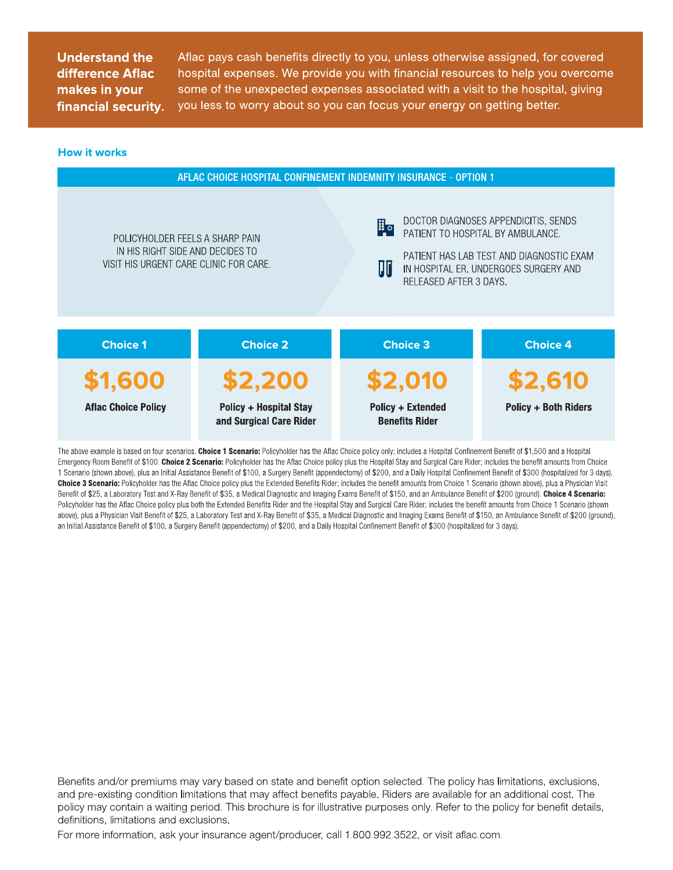Aflac pays cash benefits directly to you, unless otherwise assigned, for covered nospital expenses. We provide you with financial resources to help you overcome some of the unexpected expenses associated with a visit to the hospital, giving you less to worry about so you can focus your energy on getting better.



The above example is based on four scenarios. Choice 1 Scenario: Policyholder has the Aflac Choice policy only; includes a Hospital Confinement Benefit of \$1,500 and a Hospital Emergency Room Benefit of \$100. Choice 2 Scenario: Policyholder has the Aflac Choice policy plus the Hospital Stay and Surgical Care Rider; includes the benefit amounts from Choice 1 Scenario (shown above), plus an Initial Assistance Benefit of \$100, a Surgery Benefit (appendectomy) of \$200, and a Daily Hospital Confinement Benefit of \$300 (hospitalized for 3 days). Choice 3 Scenario: Policyholder has the Aflac Choice policy plus the Extended Benefits Rider; includes the benefit amounts from Choice 1 Scenario (shown above), plus a Physician Visit Benefit of \$25, a Laboratory Test and X-Ray Benefit of \$35, a Medical Diagnostic and Imaging Exams Benefit of \$150, and an Ambulance Benefit of \$200 (ground). Choice 4 Scenario: Policyholder has the Aflac Choice policy plus both the Extended Benefits Rider and the Hospital Stay and Surgical Care Rider; includes the benefit amounts from Choice 1 Scenario (shown above), plus a Physician Visit Benefit of \$25, a Laboratory Test and X-Ray Benefit of \$35, a Medical Diagnostic and Imaging Exams Benefit of \$150, an Ambulance Benefit of \$200 (ground), an Initial Assistance Benefit of \$100, a Surgery Benefit (appendectomy) of \$200, and a Daily Hospital Confinement Benefit of \$300 (hospitalized for 3 days).

Benefits and/or premiums may vary based on state and benefit option selected. The policy has limitations, exclusions, and pre-existing condition limitations that may affect benefits payable. Riders are available for an additional cost. The policy may contain a waiting period. This brochure is for illustrative purposes only. Refer to the policy for benefit details, definitions, limitations and exclusions.

For more information, ask your insurance agent/producer, call 1.800.992.3522, or visit aflac.com.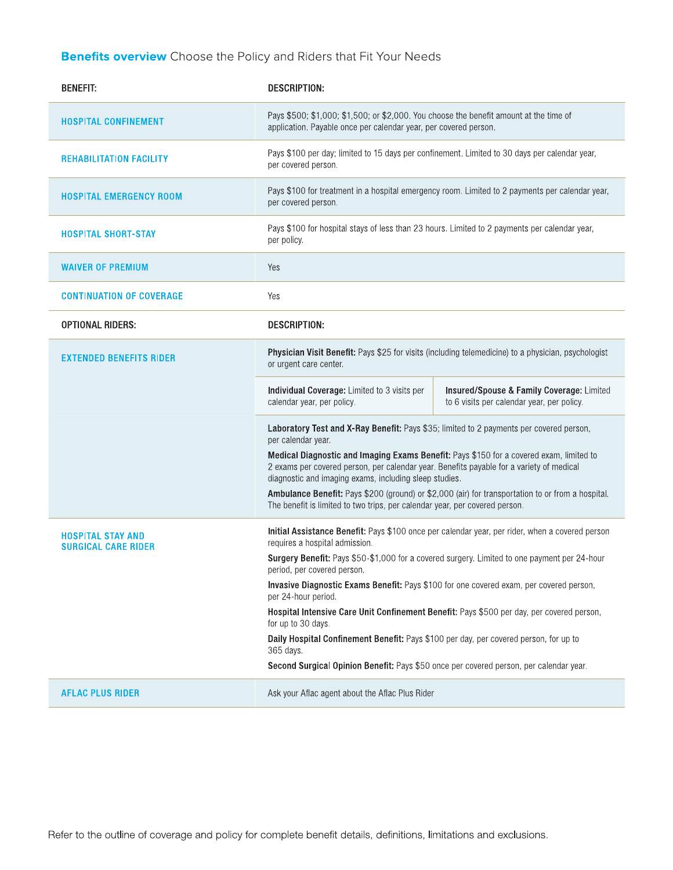### **Benefits overview** Choose the Policy and Riders that Fit Your Needs

| <b>BENEFIT:</b>                                        | <b>DESCRIPTION:</b>                                                                                                                                                                                                                                                                                                                                                                                                                                                                                                                                                                                                                                                                                   |                                                                                         |  |  |
|--------------------------------------------------------|-------------------------------------------------------------------------------------------------------------------------------------------------------------------------------------------------------------------------------------------------------------------------------------------------------------------------------------------------------------------------------------------------------------------------------------------------------------------------------------------------------------------------------------------------------------------------------------------------------------------------------------------------------------------------------------------------------|-----------------------------------------------------------------------------------------|--|--|
| <b>HOSPITAL CONFINEMENT</b>                            | Pays \$500; \$1,000; \$1,500; or \$2,000. You choose the benefit amount at the time of<br>application. Payable once per calendar year, per covered person.                                                                                                                                                                                                                                                                                                                                                                                                                                                                                                                                            |                                                                                         |  |  |
| <b>REHABILITATION FACILITY</b>                         | Pays \$100 per day; limited to 15 days per confinement. Limited to 30 days per calendar year,<br>per covered person.                                                                                                                                                                                                                                                                                                                                                                                                                                                                                                                                                                                  |                                                                                         |  |  |
| <b>HOSPITAL EMERGENCY ROOM</b>                         | Pays \$100 for treatment in a hospital emergency room. Limited to 2 payments per calendar year,<br>per covered person.                                                                                                                                                                                                                                                                                                                                                                                                                                                                                                                                                                                |                                                                                         |  |  |
| <b>HOSPITAL SHORT-STAY</b>                             | Pays \$100 for hospital stays of less than 23 hours. Limited to 2 payments per calendar year,<br>per policy.                                                                                                                                                                                                                                                                                                                                                                                                                                                                                                                                                                                          |                                                                                         |  |  |
| <b>WAIVER OF PREMIUM</b>                               | Yes                                                                                                                                                                                                                                                                                                                                                                                                                                                                                                                                                                                                                                                                                                   |                                                                                         |  |  |
| <b>CONTINUATION OF COVERAGE</b>                        | Yes                                                                                                                                                                                                                                                                                                                                                                                                                                                                                                                                                                                                                                                                                                   |                                                                                         |  |  |
| <b>OPTIONAL RIDERS:</b>                                | <b>DESCRIPTION:</b>                                                                                                                                                                                                                                                                                                                                                                                                                                                                                                                                                                                                                                                                                   |                                                                                         |  |  |
| <b>EXTENDED BENEFITS RIDER</b>                         | Physician Visit Benefit: Pays \$25 for visits (including telemedicine) to a physician, psychologist<br>or urgent care center.                                                                                                                                                                                                                                                                                                                                                                                                                                                                                                                                                                         |                                                                                         |  |  |
|                                                        | Individual Coverage: Limited to 3 visits per<br>calendar year, per policy.                                                                                                                                                                                                                                                                                                                                                                                                                                                                                                                                                                                                                            | Insured/Spouse & Family Coverage: Limited<br>to 6 visits per calendar year, per policy. |  |  |
|                                                        | Laboratory Test and X-Ray Benefit: Pays \$35; limited to 2 payments per covered person,<br>per calendar year.<br>Medical Diagnostic and Imaging Exams Benefit: Pays \$150 for a covered exam, limited to<br>2 exams per covered person, per calendar year. Benefits payable for a variety of medical<br>diagnostic and imaging exams, including sleep studies.<br>Ambulance Benefit: Pays \$200 (ground) or \$2,000 (air) for transportation to or from a hospital.<br>The benefit is limited to two trips, per calendar year, per covered person.                                                                                                                                                    |                                                                                         |  |  |
| <b>HOSPITAL STAY AND</b><br><b>SURGICAL CARE RIDER</b> | Initial Assistance Benefit: Pays \$100 once per calendar year, per rider, when a covered person<br>requires a hospital admission.<br>Surgery Benefit: Pays \$50-\$1,000 for a covered surgery. Limited to one payment per 24-hour<br>period, per covered person.<br>Invasive Diagnostic Exams Benefit: Pays \$100 for one covered exam, per covered person,<br>per 24-hour period.<br>Hospital Intensive Care Unit Confinement Benefit: Pays \$500 per day, per covered person,<br>for up to 30 days.<br>Daily Hospital Confinement Benefit: Pays \$100 per day, per covered person, for up to<br>365 days.<br>Second Surgical Opinion Benefit: Pays \$50 once per covered person, per calendar year. |                                                                                         |  |  |
| <b>AFLAC PLUS RIDER</b>                                | Ask your Aflac agent about the Aflac Plus Rider                                                                                                                                                                                                                                                                                                                                                                                                                                                                                                                                                                                                                                                       |                                                                                         |  |  |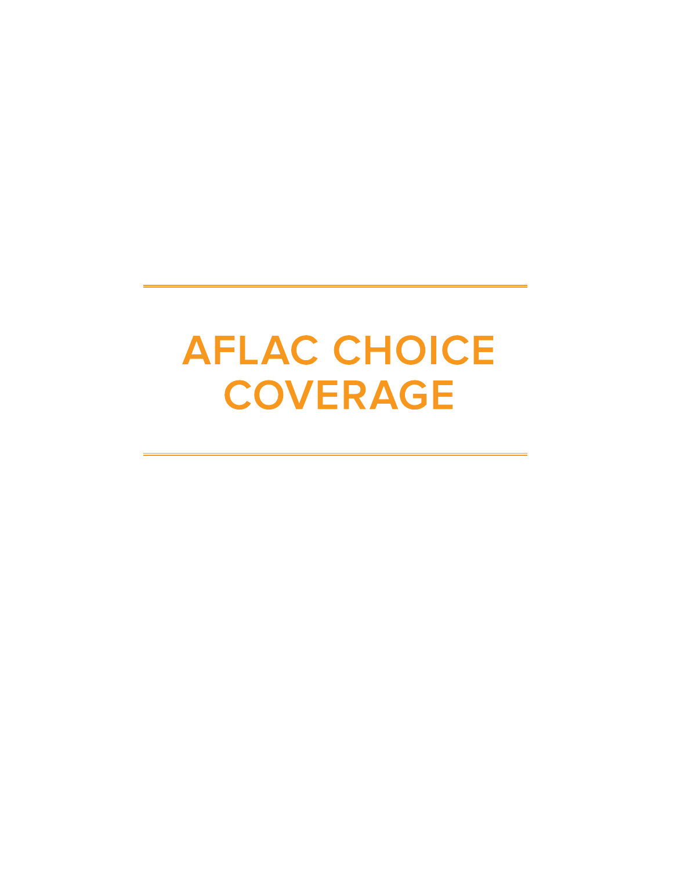# **AFLAC CHOICE COVERAGE**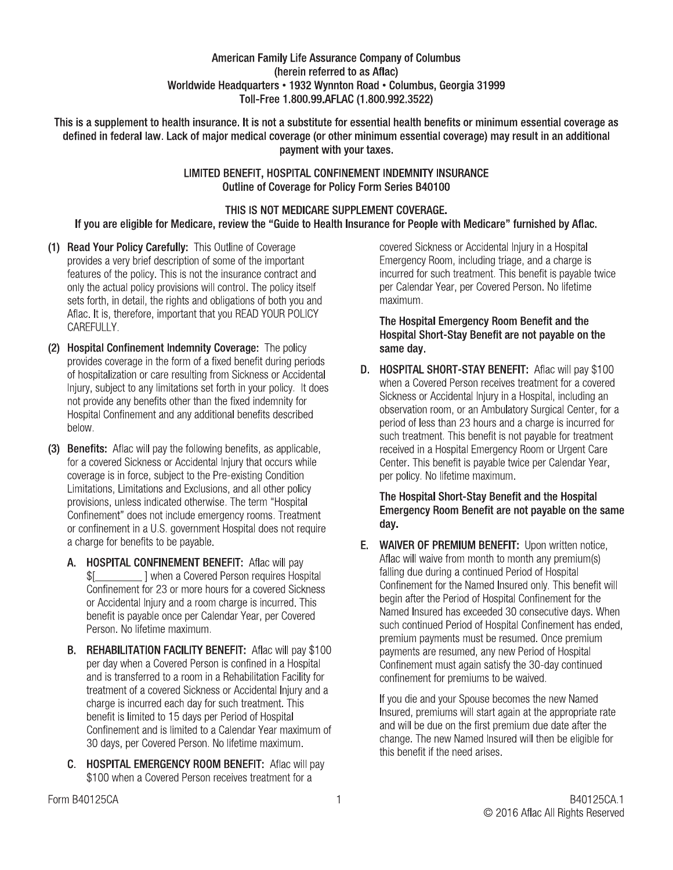#### **American Family Life Assurance Company of Columbus** (herein referred to as Aflac) Worldwide Headquarters • 1932 Wynnton Road • Columbus, Georgia 31999 Toll-Free 1.800.99.AFLAC (1.800.992.3522)

This is a supplement to health insurance. It is not a substitute for essential health benefits or minimum essential coverage as defined in federal law. Lack of maior medical coverage (or other minimum essential coverage) may result in an additional payment with your taxes.

#### LIMITED BENEFIT, HOSPITAL CONFINEMENT INDEMNITY INSURANCE Outline of Coverage for Policy Form Series B40100

#### THIS IS NOT MEDICARE SUPPLEMENT COVERAGE. If you are eligible for Medicare, review the "Guide to Health Insurance for People with Medicare" furnished by Aflac.

- (1) Read Your Policy Carefully: This Outline of Coverage provides a very brief description of some of the important features of the policy. This is not the insurance contract and only the actual policy provisions will control. The policy itself sets forth, in detail, the rights and obligations of both you and Aflac. It is, therefore, important that you READ YOUR POLICY CAREFULLY.
- (2) Hospital Confinement Indemnity Coverage: The policy provides coverage in the form of a fixed benefit during periods of hospitalization or care resulting from Sickness or Accidental Injury, subject to any limitations set forth in your policy. It does not provide any benefits other than the fixed indemnity for Hospital Confinement and any additional benefits described below.
- (3) Benefits: Aflac will pay the following benefits, as applicable, for a covered Sickness or Accidental Injury that occurs while coverage is in force, subject to the Pre-existing Condition Limitations, Limitations and Exclusions, and all other policy provisions, unless indicated otherwise. The term "Hospital Confinement" does not include emergency rooms. Treatment or confinement in a U.S. government Hospital does not require a charge for benefits to be payable.
	- A. HOSPITAL CONFINEMENT BENEFIT: Aflac will pay I when a Covered Person requires Hospital \$[ Confinement for 23 or more hours for a covered Sickness or Accidental Injury and a room charge is incurred. This benefit is payable once per Calendar Year, per Covered Person. No lifetime maximum.
	- **B. REHABILITATION FACILITY BENEFIT:** Aflac will pay \$100 per day when a Covered Person is confined in a Hospital and is transferred to a room in a Rehabilitation Facility for treatment of a covered Sickness or Accidental Injury and a charge is incurred each day for such treatment. This benefit is limited to 15 days per Period of Hospital Confinement and is limited to a Calendar Year maximum of 30 days, per Covered Person. No lifetime maximum.
	- C. HOSPITAL EMERGENCY ROOM BENEFIT: Aflac will pay \$100 when a Covered Person receives treatment for a

covered Sickness or Accidental Injury in a Hospital Emergency Room, including triage, and a charge is incurred for such treatment. This benefit is payable twice per Calendar Year, per Covered Person, No lifetime maximum.

The Hospital Emergency Room Benefit and the Hospital Short-Stay Benefit are not payable on the same day.

D. HOSPITAL SHORT-STAY BENEFIT: Aflac will pay \$100 when a Covered Person receives treatment for a covered Sickness or Accidental Injury in a Hospital, including an observation room, or an Ambulatory Surgical Center, for a period of less than 23 hours and a charge is incurred for such treatment. This benefit is not payable for treatment received in a Hospital Emergency Room or Urgent Care Center. This benefit is payable twice per Calendar Year, per policy. No lifetime maximum.

#### The Hospital Short-Stay Benefit and the Hospital Emergency Room Benefit are not payable on the same day.

E. WAIVER OF PREMIUM BENEFIT: Upon written notice, Aflac will waive from month to month any premium(s) falling due during a continued Period of Hospital Confinement for the Named Insured only. This benefit will begin after the Period of Hospital Confinement for the Named Insured has exceeded 30 consecutive days. When such continued Period of Hospital Confinement has ended, premium payments must be resumed. Once premium payments are resumed, any new Period of Hospital Confinement must again satisfy the 30-day continued confinement for premiums to be waived.

If you die and your Spouse becomes the new Named Insured, premiums will start again at the appropriate rate and will be due on the first premium due date after the change. The new Named Insured will then be eligible for this benefit if the need arises.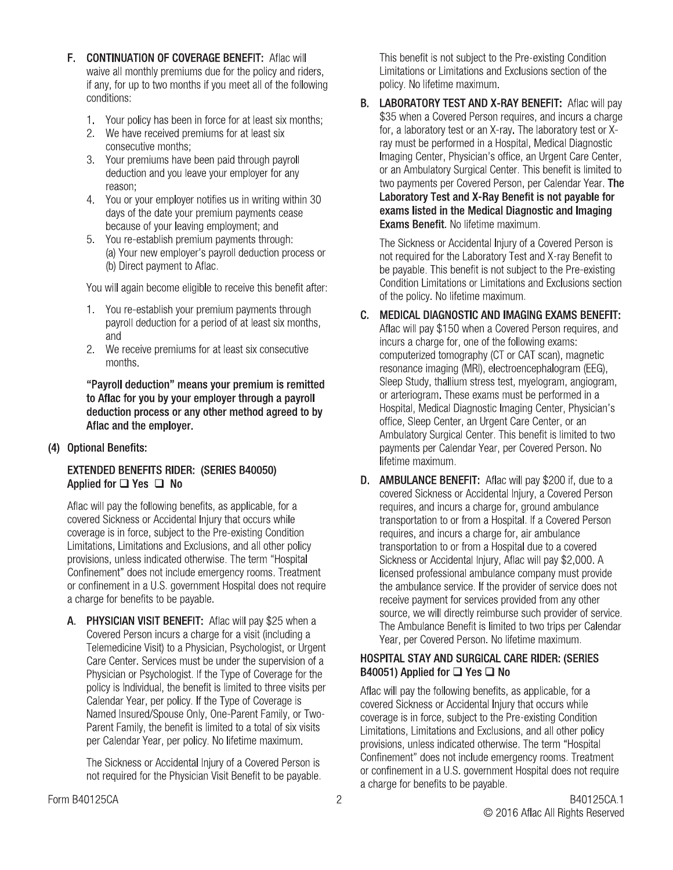- F. CONTINUATION OF COVERAGE BENEFIT: Aflac will waive all monthly premiums due for the policy and riders, if any, for up to two months if you meet all of the following conditions:
	- $1.$ Your policy has been in force for at least six months;
	- 2. We have received premiums for at least six consecutive months;
	- $3.$ Your premiums have been paid through payroll deduction and you leave your employer for any reason:
	- You or your employer notifies us in writing within 30  $4.$ days of the date your premium payments cease because of your leaving employment; and
	- 5. You re-establish premium payments through: (a) Your new employer's payroll deduction process or (b) Direct payment to Aflac.

You will again become eligible to receive this benefit after:

- 1. You re-establish your premium payments through payroll deduction for a period of at least six months, and
- We receive premiums for at least six consecutive  $2.$ months.

"Payroll deduction" means your premium is remitted to Aflac for you by your employer through a payroll deduction process or any other method agreed to by Aflac and the employer.

(4) Optional Benefits:

#### **EXTENDED BENEFITS RIDER: (SERIES B40050)** Applied for □ Yes □ No

Aflac will pay the following benefits, as applicable, for a covered Sickness or Accidental Injury that occurs while coverage is in force, subject to the Pre-existing Condition Limitations, Limitations and Exclusions, and all other policy provisions, unless indicated otherwise. The term "Hospital Confinement" does not include emergency rooms. Treatment or confinement in a U.S. government Hospital does not require a charge for benefits to be payable.

A. PHYSICIAN VISIT BENEFIT: Aflac will pay \$25 when a Covered Person incurs a charge for a visit (including a Telemedicine Visit) to a Physician, Psychologist, or Urgent Care Center. Services must be under the supervision of a Physician or Psychologist. If the Type of Coverage for the policy is Individual, the benefit is limited to three visits per Calendar Year, per policy. If the Type of Coverage is Named Insured/Spouse Only, One-Parent Family, or Two-Parent Family, the benefit is limited to a total of six visits per Calendar Year, per policy. No lifetime maximum.

The Sickness or Accidental Injury of a Covered Person is not required for the Physician Visit Benefit to be payable.

This benefit is not subject to the Pre-existing Condition Limitations or Limitations and Exclusions section of the policy. No lifetime maximum.

B. LABORATORY TEST AND X-RAY BENEFIT: Aflac will pay \$35 when a Covered Person requires, and incurs a charge for, a laboratory test or an X-ray. The laboratory test or Xray must be performed in a Hospital, Medical Diagnostic Imaging Center, Physician's office, an Urgent Care Center, or an Ambulatory Surgical Center. This benefit is limited to two payments per Covered Person, per Calendar Year. The Laboratory Test and X-Ray Benefit is not payable for exams listed in the Medical Diagnostic and Imaging **Exams Benefit.** No lifetime maximum.

The Sickness or Accidental Injury of a Covered Person is not required for the Laboratory Test and X-ray Benefit to be pavable. This benefit is not subject to the Pre-existing Condition Limitations or Limitations and Exclusions section of the policy. No lifetime maximum.

#### C. MEDICAL DIAGNOSTIC AND IMAGING EXAMS BENEFIT: Aflac will pay \$150 when a Covered Person requires, and incurs a charge for, one of the following exams: computerized tomography (CT or CAT scan), magnetic resonance imaging (MRI), electroencephalogram (EEG),

Sleep Study, thallium stress test, myelogram, angiogram, or arteriogram. These exams must be performed in a Hospital, Medical Diagnostic Imaging Center, Physician's office, Sleep Center, an Urgent Care Center, or an Ambulatory Surgical Center. This benefit is limited to two payments per Calendar Year, per Covered Person. No lifetime maximum.

**D.** AMBULANCE BENEFIT: Aflac will pay \$200 if, due to a covered Sickness or Accidental Injury, a Covered Person requires, and incurs a charge for, ground ambulance transportation to or from a Hospital. If a Covered Person requires, and incurs a charge for, air ambulance transportation to or from a Hospital due to a covered Sickness or Accidental Injury, Aflac will pay \$2,000. A licensed professional ambulance company must provide the ambulance service. If the provider of service does not receive payment for services provided from any other source, we will directly reimburse such provider of service. The Ambulance Benefit is limited to two trips per Calendar Year, per Covered Person. No lifetime maximum.

#### HOSPITAL STAY AND SURGICAL CARE RIDER: (SERIES B40051) Applied for □ Yes □ No

Aflac will pay the following benefits, as applicable, for a covered Sickness or Accidental Injury that occurs while coverage is in force, subject to the Pre-existing Condition Limitations, Limitations and Exclusions, and all other policy provisions, unless indicated otherwise. The term "Hospital Confinement" does not include emergency rooms. Treatment or confinement in a U.S. government Hospital does not require a charge for benefits to be payable.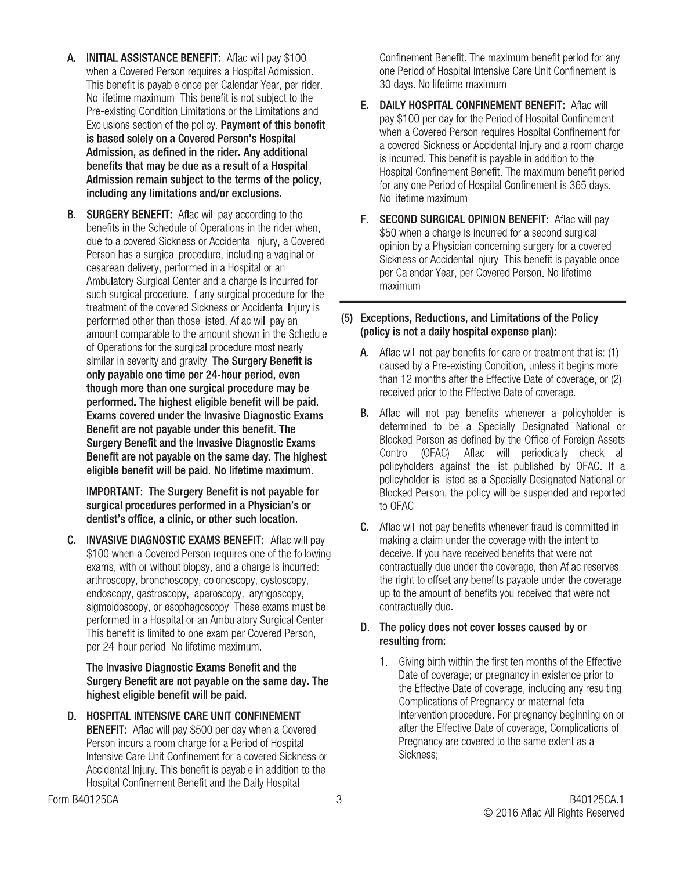- A. INITIAL ASSISTANCE BENEFIT: Aflac will pay \$100<br>when a Covered Person requires a Hospital Admission.<br>This benefit is payable once per Calendar Year, per ride<br>No lifetime maximum. This benefit is not subject to the<br>Pre-e when a Covered Person requires a Hospital Admission.<br>The control of the control of the control of the control of the control of the control of the control of the c This behefit is payable once per Calendar Year, per rider. No lifetime maximum. This benefit is not subject to the Pre-existing Condition Limitations or the Limitations and<br>-**A. INITIAL ASSISTANCE BENEFIT:** Aflac will pay \$100<br>when a Covered Person requires a Hospital Admission.<br>This benefit is payable once per Calendar Year, per rider.<br>No lifetime maximum. This benefit is not subject to the<br>P
	- $\,$  B.  $\,$  SURGERY BENEFIT: Anac will pay according to the benefits in the Schedule of Operations in the rider when, que to a covered Sickness or Accidental injury, a Covered<br>-Person nas a surgical procedure, including a vaginal or cesarean delivery, performed in a Hospital or an Ambulatory Surgical Center and a charge is incurred for such surgical procedure. If any surgical procedure for the treatment of the covered Sickhess or Accidental injury is performed other than those listed, Aflac will pay an amount comparable to the amount shown in the Schedule or Operations for the surgical procedure most hearly similar in severity and gravity. The Surgery Benefit is only payable one time per 24-hour period, even though more than one surgical procedure may be performed. The highest eligible benefit will be paid. Exams covered under the Invasive Diagnostic Exams Benefit are not payable under this benefit. The Surgery Benefit and the Invasive Diagnostic Exams Benefit are not payable on the same day. The highest eligible benefit will be paid. No lifetime maximum.

IMPORTANT: The Surgery Benefit is not payable for surgical procedures performed in a Physician's or

dentist's office, a clinic, or other such location.<br>C. INVASIVE DIAGNOSTIC EXAMS BENEFIT: Aflac will pay Benefit are not payable under this benefit. The<br>Surgery Benefit and the Invasive Diagnostic Exams<br>Benefit are not payable on the same day. The highest<br>eligible benefit will be paid. No lifetime maximum.<br>IMPORTANT: The Surg ed Person requires one or the following exams, with or without blopsy, and a charge is incurred: artnroscopy, proncnoscopy, colonoscopy, cystoscopy, endoscopy, gastroscopy, laparoscopy, laryngoscopy, sigmoidoscopy, or esophagoscopy. These exams must be ---04--063-.^3-0- This behefit is limited to one exam per Covered Person, per 24-nour perioa. No lifetime maximum.

The Invasive Diagnostic Exams Benefit and the Surgery Benefit are not payable on the same day. The

highest eligible benefit will be paid.<br>D. HOSPITAL INTENSIVE CARE UNIT CONFINEMENT sigmoidoscopy, or esophagoscopy. These exams must be<br>performed in a Hospital or an Ambulatory Surgical Center.<br>This benefit is limited to one exam per Covered Person,<br>per 24-hour period. No lifetime maximum.<br>**The Invasive** uu per day when a Covered Person incurs a room charge for a Period of Hospital Intensive Care Unit Confinement for a covered Sickness or Accidental injury. This benefit is payable in addition to the Hospital Confinement Benefit and the Daily Hospital

Confinement Benefit. The maximum benefit period for any one Period of Hospital Intensive Care Unit Confinement is

- 30 days. No lifetime maximum.<br>**E.** DAILY HOSPITAL CONFINEMENT BENEFIT: Aflac will Confinement Benefit. The maximum benefit period for any<br>one Period of Hospital Intensive Care Unit Confinement is<br>30 days. No lifetime maximum.<br>**E. DAILY HOSPITAL CONFINEMENT BENEFIT:** Aflac will<br>pay \$100 per day for the aay for the Period of Hospital Confinement when a Covered Person requires Hospital Confinement for a covered Sickness or Accidental injury and a room cnarge is incurred. This benefit is payable in addition to the  $\frac{1}{2}$ Hospital Confinement Benefit. The maximum benefit period for any one Period of Hospital Confinement is 365 days.<br>... ........ No lifetime maximum.<br>**F. SECOND SURGICAL OPINION BENEFIT:** Aflac will pay tations and<br>
this benefit<br>
this benefit<br>
pay \$100 per day for the Period of Hospital Confinement<br>
when a Covered Person requires Hospital Confinement for<br>
a covered Sickness or Accidental Injury and a room charge<br>
is incur
	- $\frac{1}{2}$ bo when a charge is incurred for a second surgical opinion by a Physician concerning surgery for a covered  $\sim$  Sickness or Accidental injury. This benefit is payable once per Calendar Year, per Covered Person. No lifetime maximum.

#### (5) Exceptions, Reductions, and Limitations of the Policy (policy is not a daily hospital expense plan):

- $\bm{A}$ . Anac will not pay benefits for care or treatment that is: (1) caused by a Pre-existing Condition, unless it begins more  $\frac{1}{2}$  months after the Effective Date of coverage, or (2) received prior to the Effective Date of coverage.
- **B.** Aflac will not pay benefits whenever a policyholder is determined to be a specially Designated National or Blocked Person as defined by the Uffice of Foreign Assets Control (UFAC). Aflac Will periodically check all policynolders against the list published by OFAC. If a policynoloer is listed as a Specially Designated National or Biocked Person, the policy will be suspended and reported to OFAC. Diagnostic Exams<br>
benefit. The determined to be a Specially Des<br>
iagnostic Exams<br>
le day. The highest<br>
e day. The highest<br>
control (OFAC). Afface will perfit<br>
itime maximum.<br>
policyholders against the list publis<br>
is not p
	- Traud is committed in  $\overline{a}$  making a claim under the coverage with the intent to  $\overline{a}$ deceive. If you have received benefits that were not contractually que under the coverage, then Aflac reserves the right to offset any benefits payable under the coverage up to the amount of behefits you received that were not contractually que.

#### D. The policy does not cover losses caused by or resulting from:

T. Giving birth within the first ten months of the Effective Date of coverage; or pregnancy in existence prior to the Effective Date of coverage, including any resulting Complications of Pregnancy or maternal-fetal intervention procedure. For pregnancy beginning on or after the Effective Date of coverage, Complications of Pregnancy are covered to the same extent as a Sickness: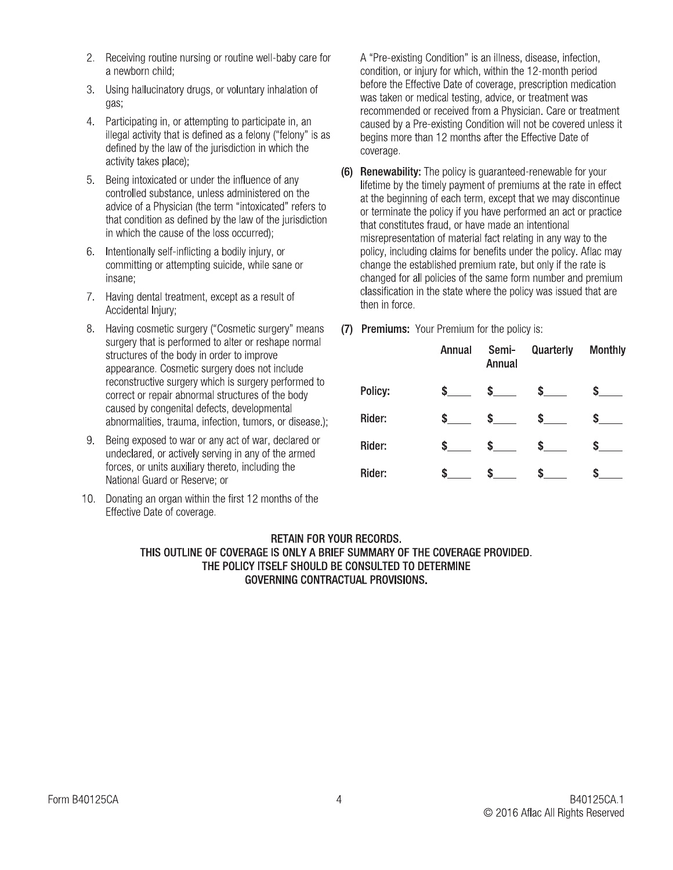- 2. Receiving routine nursing or routine well-baby care for a newborn child:
- 3. Using hallucinatory drugs, or voluntary inhalation of gas,
- 4. Participating in, or attempting to participate in, an illegal activity that is defined as a felony ("felony" is as defined by the law of the jurisdiction in which the activity takes place);
- 5. Being intoxicated or under the influence of any controlled substance, unless administered on the advice of a Physician (the term "intoxicated" refers to that condition as defined by the law of the jurisdiction in which the cause of the loss occurred);
- 6. Intentionally self-inflicting a bodily injury, or committing or attempting suicide, while sane or insane;
- 7. Having dental treatment, except as a result of Accidental Iniurv:
- 8. Having cosmetic surgery ("Cosmetic surgery" means surgery that is performed to alter or reshape normal structures of the body in order to improve appearance. Cosmetic surgery does not include reconstructive surgery which is surgery performed to correct or repair abnormal structures of the body caused by congenital defects, developmental abnormalities, trauma, infection, tumors, or disease.);
- 9. Being exposed to war or any act of war, declared or undeclared, or actively serving in any of the armed forces, or units auxiliary thereto, including the National Guard or Reserve; or
- 10. Donating an organ within the first 12 months of the Effective Date of coverage.

A "Pre-existing Condition" is an illness, disease, infection, condition, or injury for which, within the 12-month period before the Effective Date of coverage, prescription medication was taken or medical testing, advice, or treatment was recommended or received from a Physician. Care or treatment caused by a Pre-existing Condition will not be covered unless it begins more than 12 months after the Effective Date of coverage.

- (6) Renewability: The policy is guaranteed-renewable for your lifetime by the timely payment of premiums at the rate in effect at the beginning of each term, except that we may discontinue or terminate the policy if you have performed an act or practice that constitutes fraud, or have made an intentional misrepresentation of material fact relating in any way to the policy, including claims for benefits under the policy. Aflac may change the established premium rate, but only if the rate is changed for all policies of the same form number and premium classification in the state where the policy was issued that are then in force.
- (7) Premiums: Your Premium for the policy is:

|         | Annual | Semi-<br>Annual | Quarterly | <b>Monthly</b> |
|---------|--------|-----------------|-----------|----------------|
| Policy: | \$     | \$              | \$        | S              |
| Rider:  | \$     | \$              | \$        | S              |
| Rider:  | \$     | \$              | \$        | \$             |
| Rider:  | S      |                 |           |                |

#### **RETAIN FOR YOUR RECORDS.** THIS OUTLINE OF COVERAGE IS ONLY A BRIEF SUMMARY OF THE COVERAGE PROVIDED. THE POLICY ITSELF SHOULD BE CONSULTED TO DETERMINE **GOVERNING CONTRACTUAL PROVISIONS.**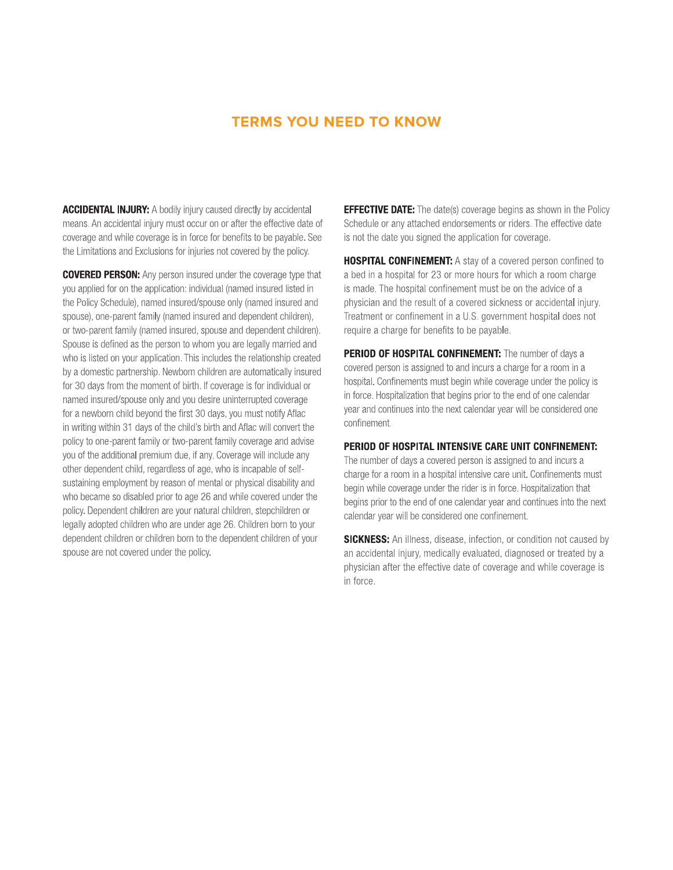#### **TERMS YOU NEED TO KNOW**

**ACCIDENTAL INJURY:** A bodily injury caused directly by accidental means. An accidental injury must occur on or after the effective date of coverage and while coverage is in force for benefits to be payable. See the Limitations and Exclusions for injuries not covered by the policy.

**COVERED PERSON:** Any person insured under the coverage type that you applied for on the application: individual (named insured listed in the Policy Schedule), named insured/spouse only (named insured and spouse), one-parent family (named insured and dependent children), or two-parent family (named insured, spouse and dependent children). Spouse is defined as the person to whom you are legally married and who is listed on your application. This includes the relationship created by a domestic partnership. Newborn children are automatically insured for 30 days from the moment of birth. If coverage is for individual or named insured/spouse only and you desire uninterrupted coverage for a newborn child beyond the first 30 days, you must notify Aflac in writing within 31 days of the child's birth and Aflac will convert the policy to one-parent family or two-parent family coverage and advise you of the additional premium due, if any. Coverage will include any other dependent child, regardless of age, who is incapable of selfsustaining employment by reason of mental or physical disability and who became so disabled prior to age 26 and while covered under the policy. Dependent children are your natural children, stepchildren or legally adopted children who are under age 26. Children born to your dependent children or children born to the dependent children of your spouse are not covered under the policy.

**EFFECTIVE DATE:** The date(s) coverage begins as shown in the Policy Schedule or any attached endorsements or riders. The effective date is not the date you signed the application for coverage.

HOSPITAL CONFINEMENT: A stay of a covered person confined to a bed in a hospital for 23 or more hours for which a room charge is made. The hospital confinement must be on the advice of a physician and the result of a covered sickness or accidental injury. Treatment or confinement in a U.S. government hospital does not require a charge for benefits to be payable.

**PERIOD OF HOSPITAL CONFINEMENT:** The number of days a covered person is assigned to and incurs a charge for a room in a hospital. Confinements must begin while coverage under the policy is in force. Hospitalization that begins prior to the end of one calendar year and continues into the next calendar year will be considered one confinement.

#### PERIOD OF HOSPITAL INTENSIVE CARE UNIT CONFINEMENT:

The number of days a covered person is assigned to and incurs a charge for a room in a hospital intensive care unit. Confinements must begin while coverage under the rider is in force. Hospitalization that begins prior to the end of one calendar year and continues into the next calendar year will be considered one confinement.

**SICKNESS:** An illness, disease, infection, or condition not caused by an accidental injury, medically evaluated, diagnosed or treated by a physician after the effective date of coverage and while coverage is in force.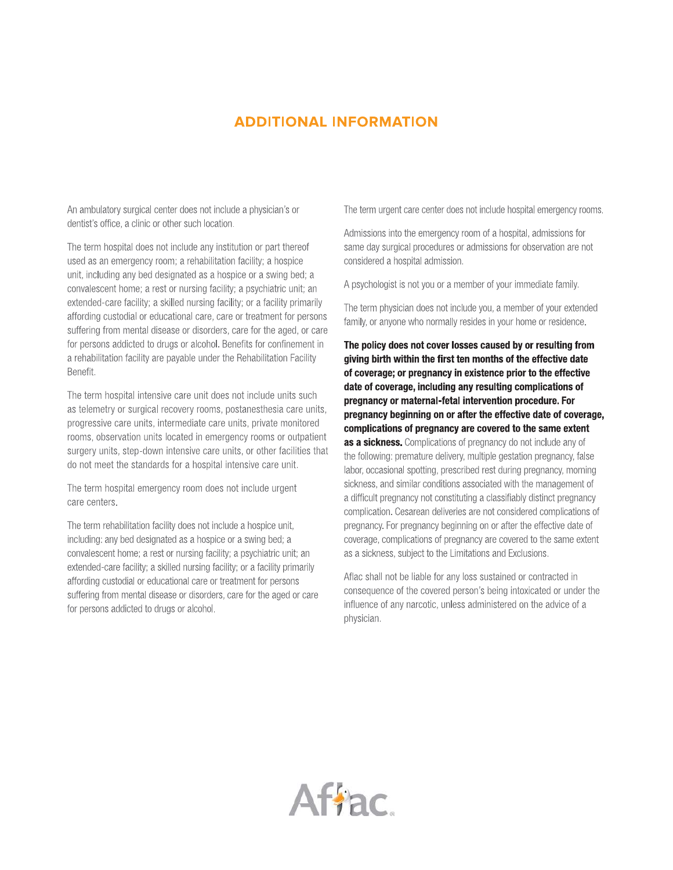#### **ADDITIONAL INFORMATION**

An ambulatory surgical center does not include a physician's or dentist's office, a clinic or other such location.

The term hospital does not include any institution or part thereof used as an emergency room; a rehabilitation facility; a hospice unit, including any bed designated as a hospice or a swing bed; a convalescent home; a rest or nursing facility; a psychiatric unit; an extended-care facility; a skilled nursing facility; or a facility primarily affording custodial or educational care, care or treatment for persons suffering from mental disease or disorders, care for the aged, or care for persons addicted to drugs or alcohol. Benefits for confinement in a rehabilitation facility are payable under the Rehabilitation Facility Benefit.

The term hospital intensive care unit does not include units such as telemetry or surgical recovery rooms, postanesthesia care units, progressive care units, intermediate care units, private monitored rooms, observation units located in emergency rooms or outpatient surgery units, step-down intensive care units, or other facilities that do not meet the standards for a hospital intensive care unit.

The term hospital emergency room does not include urgent care centers.

The term rehabilitation facility does not include a hospice unit, including: any bed designated as a hospice or a swing bed: a convalescent home; a rest or nursing facility; a psychiatric unit; an extended-care facility; a skilled nursing facility; or a facility primarily affording custodial or educational care or treatment for persons suffering from mental disease or disorders, care for the aged or care for persons addicted to drugs or alcohol.

The term urgent care center does not include hospital emergency rooms.

Admissions into the emergency room of a hospital, admissions for same day surgical procedures or admissions for observation are not considered a hospital admission.

A psychologist is not you or a member of your immediate family.

The term physician does not include you, a member of your extended family, or anyone who normally resides in your home or residence.

The policy does not cover losses caused by or resulting from giving birth within the first ten months of the effective date of coverage; or pregnancy in existence prior to the effective date of coverage, including any resulting complications of pregnancy or maternal-fetal intervention procedure. For pregnancy beginning on or after the effective date of coverage, complications of pregnancy are covered to the same extent as a sickness. Complications of pregnancy do not include any of the following: premature delivery, multiple gestation pregnancy, false labor, occasional spotting, prescribed rest during pregnancy, morning sickness, and similar conditions associated with the management of a difficult pregnancy not constituting a classifiably distinct pregnancy complication. Cesarean deliveries are not considered complications of pregnancy. For pregnancy beginning on or after the effective date of coverage, complications of pregnancy are covered to the same extent as a sickness, subject to the Limitations and Exclusions.

Aflac shall not be liable for any loss sustained or contracted in consequence of the covered person's being intoxicated or under the influence of any narcotic, unless administered on the advice of a physician.